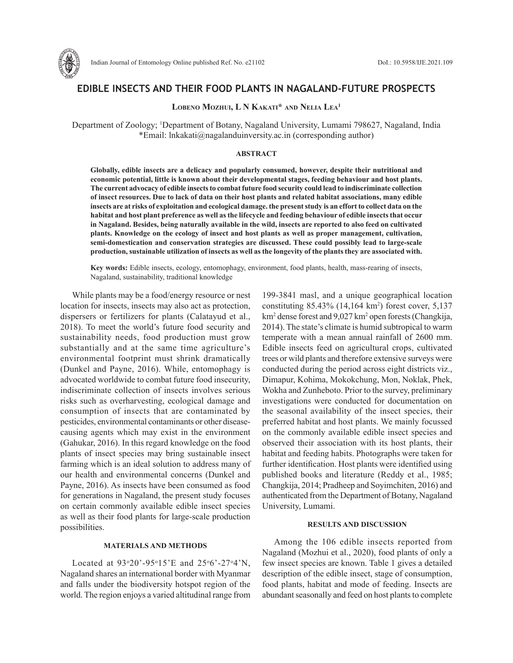

# **EDIBLE INSECTS AND THEIR FOOD PLANTS IN NAGALAND-FUTURE PROSPECTS**

## **Lobeno Mozhui, L N Kakati\* and Nelia Lea1**

Department of Zoology; 1 Department of Botany, Nagaland University, Lumami 798627, Nagaland, India \*Email: lnkakati@nagalanduinversity.ac.in (corresponding author)

#### **ABSTRACT**

**Globally, edible insects are a delicacy and popularly consumed, however, despite their nutritional and economic potential, little is known about their developmental stages, feeding behaviour and host plants. The current advocacy of edible insects to combat future food security could lead to indiscriminate collection of insect resources. Due to lack of data on their host plants and related habitat associations, many edible insects are at risks of exploitation and ecological damage. the present study is an effort to collect data on the habitat and host plant preference as well as the lifecycle and feeding behaviour of edible insects that occur in Nagaland. Besides, being naturally available in the wild, insects are reported to also feed on cultivated plants. Knowledge on the ecology of insect and host plants as well as proper management, cultivation, semi-domestication and conservation strategies are discussed. These could possibly lead to large-scale production, sustainable utilization of insects as well as the longevity of the plants they are associated with.**

**Key words:** Edible insects, ecology, entomophagy, environment, food plants, health, mass-rearing of insects, Nagaland, sustainability, traditional knowledge

While plants may be a food/energy resource or nest location for insects, insects may also act as protection, dispersers or fertilizers for plants (Calatayud et al., 2018). To meet the world's future food security and sustainability needs, food production must grow substantially and at the same time agriculture's environmental footprint must shrink dramatically (Dunkel and Payne, 2016). While, entomophagy is advocated worldwide to combat future food insecurity, indiscriminate collection of insects involves serious risks such as overharvesting, ecological damage and consumption of insects that are contaminated by pesticides, environmental contaminants or other diseasecausing agents which may exist in the environment (Gahukar, 2016). In this regard knowledge on the food plants of insect species may bring sustainable insect farming which is an ideal solution to address many of our health and environmental concerns (Dunkel and Payne, 2016). As insects have been consumed as food for generations in Nagaland, the present study focuses on certain commonly available edible insect species as well as their food plants for large-scale production possibilities.

### **MATERIALS AND METHODS**

Located at  $93°20' - 95°15'E$  and  $25°6' - 27°4'N$ , Nagaland shares an international border with Myanmar and falls under the biodiversity hotspot region of the world. The region enjoys a varied altitudinal range from

199-3841 masl, and a unique geographical location constituting 85.43% (14,164 km2 ) forest cover, 5,137 km<sup>2</sup> dense forest and 9,027 km<sup>2</sup> open forests (Changkija, 2014). The state's climate is humid subtropical to warm temperate with a mean annual rainfall of 2600 mm. Edible insects feed on agricultural crops, cultivated trees or wild plants and therefore extensive surveys were conducted during the period across eight districts viz., Dimapur, Kohima, Mokokchung, Mon, Noklak, Phek, Wokha and Zunheboto. Prior to the survey, preliminary investigations were conducted for documentation on the seasonal availability of the insect species, their preferred habitat and host plants. We mainly focussed on the commonly available edible insect species and observed their association with its host plants, their habitat and feeding habits. Photographs were taken for further identification. Host plants were identified using published books and literature (Reddy et al., 1985; Changkija, 2014; Pradheep and Soyimchiten, 2016) and authenticated from the Department of Botany, Nagaland University, Lumami.

## **RESULTS AND DISCUSSION**

Among the 106 edible insects reported from Nagaland (Mozhui et al., 2020), food plants of only a few insect species are known. Table 1 gives a detailed description of the edible insect, stage of consumption, food plants, habitat and mode of feeding. Insects are abundant seasonally and feed on host plants to complete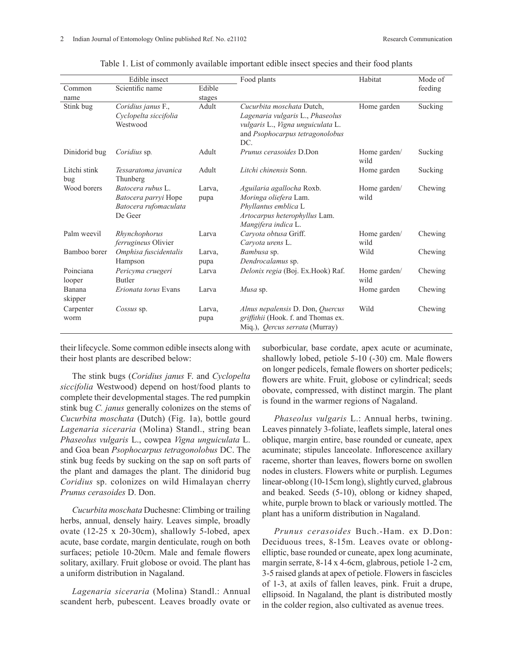|                     | Edible insect                                                                 |                | Food plants                                                                                                                                  | Habitat              | Mode of |
|---------------------|-------------------------------------------------------------------------------|----------------|----------------------------------------------------------------------------------------------------------------------------------------------|----------------------|---------|
| Common              | Scientific name                                                               | Edible         |                                                                                                                                              |                      | feeding |
| name                |                                                                               | stages         |                                                                                                                                              |                      |         |
| Stink bug           | Coridius janus F.,<br>Cyclopelta siccifolia<br>Westwood                       | Adult          | Cucurbita moschata Dutch,<br>Lagenaria vulgaris L., Phaseolus<br>vulgaris L., Vigna unguiculata L.<br>and Psophocarpus tetragonolobus<br>DC. | Home garden          | Sucking |
| Dinidorid bug       | Coridius sp.                                                                  | Adult          | Prunus cerasoides D.Don                                                                                                                      | Home garden/<br>wild | Sucking |
| Litchi stink<br>bug | Tessaratoma javanica<br>Thunberg                                              | Adult          | Litchi chinensis Sonn.                                                                                                                       | Home garden          | Sucking |
| Wood borers         | Batocera rubus L.<br>Batocera parryi Hope<br>Batocera rufomaculata<br>De Geer | Larva,<br>pupa | Aguilaria agallocha Roxb.<br>Moringa oliefera Lam.<br>Phyllantus emblica L<br>Artocarpus heterophyllus Lam.<br>Mangifera indica L.           | Home garden/<br>wild | Chewing |
| Palm weevil         | Rhynchophorus<br>ferrugineus Olivier                                          | Larva          | Caryota obtusa Griff.<br>Caryota urens L.                                                                                                    | Home garden/<br>wild | Chewing |
| Bamboo borer        | Omphisa fuscidentalis<br>Hampson                                              | Larva,<br>pupa | Bambusa sp.<br>Dendrocalamus sp.                                                                                                             | Wild                 | Chewing |
| Poinciana<br>looper | Pericyma cruegeri<br>Butler                                                   | Larva          | Delonix regia (Boj. Ex.Hook) Raf.                                                                                                            | Home garden/<br>wild | Chewing |
| Banana<br>skipper   | Erionata torus Evans                                                          | Larva          | Musa sp.                                                                                                                                     | Home garden          | Chewing |
| Carpenter<br>worm   | Cossus sp.                                                                    | Larva,<br>pupa | Alnus nepalensis D. Don, Quercus<br>griffithii (Hook. f. and Thomas ex.<br>Mig.), <i>Oercus serrata</i> (Murray)                             | Wild                 | Chewing |

|  |  |  |  |  |  |  |  |  |  | Table 1. List of commonly available important edible insect species and their food plants |  |
|--|--|--|--|--|--|--|--|--|--|-------------------------------------------------------------------------------------------|--|
|--|--|--|--|--|--|--|--|--|--|-------------------------------------------------------------------------------------------|--|

their lifecycle. Some common edible insects along with their host plants are described below:

The stink bugs (*Coridius janus* F. and *Cyclopelta siccifolia* Westwood) depend on host/food plants to complete their developmental stages. The red pumpkin stink bug *C. janus* generally colonizes on the stems of *Cucurbita moschata* (Dutch) (Fig. 1a), bottle gourd *Lagenaria siceraria* (Molina) Standl., string bean *Phaseolus vulgaris* L., cowpea *Vigna unguiculata* L. and Goa bean *Psophocarpus tetragonolobus* DC. The stink bug feeds by sucking on the sap on soft parts of the plant and damages the plant. The dinidorid bug *Coridius* sp. colonizes on wild Himalayan cherry *Prunus cerasoides* D. Don.

*Cucurbita moschata* Duchesne: Climbing or trailing herbs, annual, densely hairy. Leaves simple, broadly ovate (12-25 x 20-30cm), shallowly 5-lobed, apex acute, base cordate, margin denticulate, rough on both surfaces; petiole 10-20cm. Male and female flowers solitary, axillary. Fruit globose or ovoid. The plant has a uniform distribution in Nagaland.

*Lagenaria siceraria* (Molina) Standl.: Annual scandent herb, pubescent. Leaves broadly ovate or suborbicular, base cordate, apex acute or acuminate, shallowly lobed, petiole 5-10 (-30) cm. Male flowers on longer pedicels, female flowers on shorter pedicels; flowers are white. Fruit, globose or cylindrical; seeds obovate, compressed, with distinct margin. The plant is found in the warmer regions of Nagaland.

*Phaseolus vulgaris* L.: Annual herbs, twining. Leaves pinnately 3-foliate, leaflets simple, lateral ones oblique, margin entire, base rounded or cuneate, apex acuminate; stipules lanceolate. Inflorescence axillary raceme, shorter than leaves, flowers borne on swollen nodes in clusters. Flowers white or purplish. Legumes linear-oblong (10-15cm long), slightly curved, glabrous and beaked. Seeds (5-10), oblong or kidney shaped, white, purple brown to black or variously mottled. The plant has a uniform distribution in Nagaland.

*Prunus cerasoides* Buch.-Ham. ex D.Don: Deciduous trees, 8-15m. Leaves ovate or oblongelliptic, base rounded or cuneate, apex long acuminate, margin serrate, 8-14 x 4-6cm, glabrous, petiole 1-2 cm, 3-5 raised glands at apex of petiole. Flowers in fascicles of 1-3, at axils of fallen leaves, pink. Fruit a drupe, ellipsoid. In Nagaland, the plant is distributed mostly in the colder region, also cultivated as avenue trees.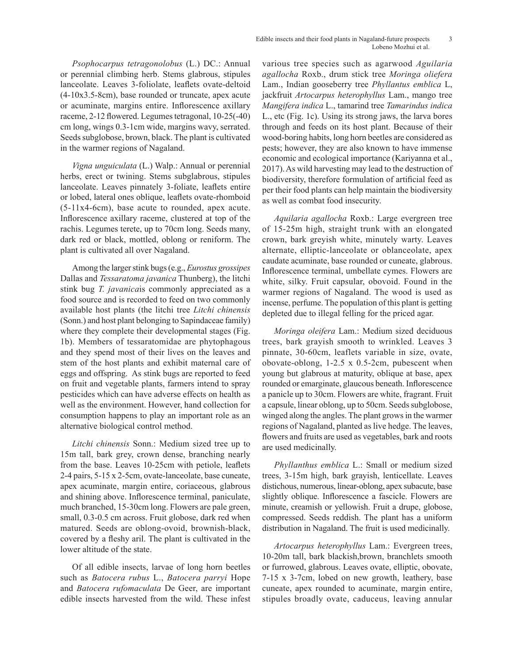*Psophocarpus tetragonolobus* (L.) DC.: Annual or perennial climbing herb. Stems glabrous, stipules lanceolate. Leaves 3-foliolate, leaflets ovate-deltoid (4-10x3.5-8cm), base rounded or truncate, apex acute or acuminate, margins entire. Inflorescence axillary raceme, 2-12 flowered. Legumes tetragonal, 10-25(-40) cm long, wings 0.3-1cm wide, margins wavy, serrated. Seeds subglobose, brown, black. The plant is cultivated in the warmer regions of Nagaland.

*Vigna unguiculata* (L.) Walp.: Annual or perennial herbs, erect or twining. Stems subglabrous, stipules lanceolate. Leaves pinnately 3-foliate, leaflets entire or lobed, lateral ones oblique, leaflets ovate-rhomboid (5-11x4-6cm), base acute to rounded, apex acute. Inflorescence axillary raceme, clustered at top of the rachis. Legumes terete, up to 70cm long. Seeds many, dark red or black, mottled, oblong or reniform. The plant is cultivated all over Nagaland.

Among the larger stink bugs (e.g., *Eurostus grossipes* Dallas and *Tessaratoma javanica* Thunberg), the litchi stink bug *T. javanica*is commonly appreciated as a food source and is recorded to feed on two commonly available host plants (the litchi tree *Litchi chinensis* (Sonn.) and host plant belonging to Sapindaceae family) where they complete their developmental stages (Fig. 1b). Members of tessaratomidae are phytophagous and they spend most of their lives on the leaves and stem of the host plants and exhibit maternal care of eggs and offspring. As stink bugs are reported to feed on fruit and vegetable plants, farmers intend to spray pesticides which can have adverse effects on health as well as the environment. However, hand collection for consumption happens to play an important role as an alternative biological control method.

*Litchi chinensis* Sonn.: Medium sized tree up to 15m tall, bark grey, crown dense, branching nearly from the base. Leaves 10-25cm with petiole, leaflets 2-4 pairs, 5-15 x 2-5cm, ovate-lanceolate, base cuneate, apex acuminate, margin entire, coriaceous, glabrous and shining above. Inflorescence terminal, paniculate, much branched, 15-30cm long. Flowers are pale green, small, 0.3-0.5 cm across. Fruit globose, dark red when matured. Seeds are oblong-ovoid, brownish-black, covered by a fleshy aril. The plant is cultivated in the lower altitude of the state.

Of all edible insects, larvae of long horn beetles such as *Batocera rubus* L., *Batocera parryi* Hope and *Batocera rufomaculata* De Geer, are important edible insects harvested from the wild. These infest

various tree species such as agarwood *Aguilaria agallocha* Roxb., drum stick tree *Moringa oliefera* Lam., Indian gooseberry tree *Phyllantus emblica* L, jackfruit *Artocarpus heterophyllus* Lam., mango tree *Mangifera indica* L., tamarind tree *Tamarindus indica* L., etc (Fig. 1c). Using its strong jaws, the larva bores through and feeds on its host plant. Because of their wood-boring habits, long horn beetles are considered as pests; however, they are also known to have immense economic and ecological importance (Kariyanna et al., 2017). As wild harvesting may lead to the destruction of biodiversity, therefore formulation of artificial feed as per their food plants can help maintain the biodiversity as well as combat food insecurity.

*Aquilaria agallocha* Roxb.: Large evergreen tree of 15-25m high, straight trunk with an elongated crown, bark greyish white, minutely warty. Leaves alternate, elliptic-lanceolate or oblanceolate, apex caudate acuminate, base rounded or cuneate, glabrous. Inflorescence terminal, umbellate cymes. Flowers are white, silky. Fruit capsular, obovoid. Found in the warmer regions of Nagaland. The wood is used as incense, perfume. The population of this plant is getting depleted due to illegal felling for the priced agar.

*Moringa oleifera* Lam.: Medium sized deciduous trees, bark grayish smooth to wrinkled. Leaves 3 pinnate, 30-60cm, leaflets variable in size, ovate, obovate-oblong, 1-2.5 x 0.5-2cm, pubescent when young but glabrous at maturity, oblique at base, apex rounded or emarginate, glaucous beneath. Inflorescence a panicle up to 30cm. Flowers are white, fragrant. Fruit a capsule, linear oblong, up to 50cm. Seeds subglobose, winged along the angles. The plant grows in the warmer regions of Nagaland, planted as live hedge. The leaves, flowers and fruits are used as vegetables, bark and roots are used medicinally.

*Phyllanthus emblica* L.: Small or medium sized trees, 3-15m high, bark grayish, lenticellate. Leaves distichous, numerous, linear-oblong, apex subacute, base slightly oblique. Inflorescence a fascicle. Flowers are minute, creamish or yellowish. Fruit a drupe, globose, compressed. Seeds reddish. The plant has a uniform distribution in Nagaland. The fruit is used medicinally.

*Artocarpus heterophyllus* Lam.: Evergreen trees, 10-20m tall, bark blackish,brown, branchlets smooth or furrowed, glabrous. Leaves ovate, elliptic, obovate, 7-15 x 3-7cm, lobed on new growth, leathery, base cuneate, apex rounded to acuminate, margin entire, stipules broadly ovate, caduceus, leaving annular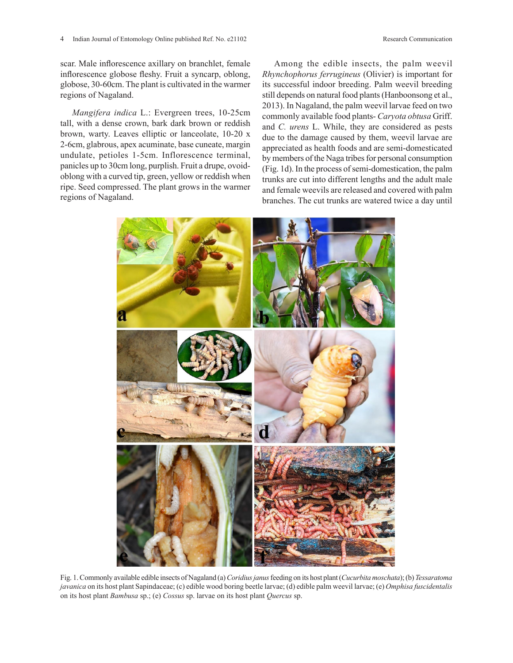scar. Male inflorescence axillary on branchlet, female inflorescence globose fleshy. Fruit a syncarp, oblong, globose, 30-60cm. The plant is cultivated in the warmer regions of Nagaland.

*Mangifera indica* L.: Evergreen trees, 10-25cm tall, with a dense crown, bark dark brown or reddish brown, warty. Leaves elliptic or lanceolate, 10-20 x 2-6cm, glabrous, apex acuminate, base cuneate, margin undulate, petioles 1-5cm. Inflorescence terminal, panicles up to 30cm long, purplish. Fruit a drupe, ovoidoblong with a curved tip, green, yellow or reddish when ripe. Seed compressed. The plant grows in the warmer regions of Nagaland.

Among the edible insects, the palm weevil *Rhynchophorus ferrugineus* (Olivier) is important for its successful indoor breeding. Palm weevil breeding still depends on natural food plants (Hanboonsong et al., 2013). In Nagaland, the palm weevil larvae feed on two commonly available food plants- *Caryota obtusa* Griff. and *C. urens* L. While, they are considered as pests due to the damage caused by them, weevil larvae are appreciated as health foods and are semi-domesticated by members of the Naga tribes for personal consumption (Fig. 1d). In the process of semi-domestication, the palm trunks are cut into different lengths and the adult male and female weevils are released and covered with palm branches. The cut trunks are watered twice a day until



Fig. 1. Commonly available edible insects of Nagaland (a) Coridius janus feeding on its host plant (Cucurbita moschata); (b) Tessaratoma javanica on its host plant Sapindaceae; (c) edible wood boring beetle larvae; (d) edible palm weevil larvae; (e) Omphisa fuscidentalis on its host plant *Bambusa* sp.; (e) *Cossus* sp. larvae on its host plant *Quercus* sp.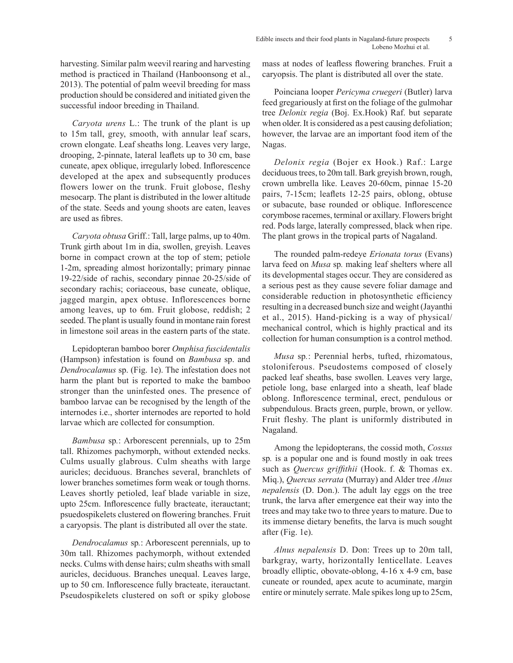harvesting. Similar palm weevil rearing and harvesting method is practiced in Thailand (Hanboonsong et al., 2013). The potential of palm weevil breeding for mass production should be considered and initiated given the successful indoor breeding in Thailand.

*Caryota urens* L.: The trunk of the plant is up to 15m tall, grey, smooth, with annular leaf scars, crown elongate. Leaf sheaths long. Leaves very large, drooping, 2-pinnate, lateral leaflets up to 30 cm, base cuneate, apex oblique, irregularly lobed. Inflorescence developed at the apex and subsequently produces flowers lower on the trunk. Fruit globose, fleshy mesocarp. The plant is distributed in the lower altitude of the state. Seeds and young shoots are eaten, leaves are used as fibres.

*Caryota obtusa* Griff.: Tall, large palms, up to 40m. Trunk girth about 1m in dia, swollen, greyish. Leaves borne in compact crown at the top of stem; petiole 1-2m, spreading almost horizontally; primary pinnae 19-22/side of rachis, secondary pinnae 20-25/side of secondary rachis; coriaceous, base cuneate, oblique, jagged margin, apex obtuse. Inflorescences borne among leaves, up to 6m. Fruit globose, reddish; 2 seeded. The plant is usually found in montane rain forest in limestone soil areas in the eastern parts of the state.

Lepidopteran bamboo borer *Omphisa fuscidentalis* (Hampson) infestation is found on *Bambusa* sp. and *Dendrocalamus* sp. (Fig. 1e). The infestation does not harm the plant but is reported to make the bamboo stronger than the uninfested ones. The presence of bamboo larvae can be recognised by the length of the internodes i.e., shorter internodes are reported to hold larvae which are collected for consumption.

*Bambusa* sp*.*: Arborescent perennials, up to 25m tall. Rhizomes pachymorph, without extended necks. Culms usually glabrous. Culm sheaths with large auricles; deciduous. Branches several, branchlets of lower branches sometimes form weak or tough thorns. Leaves shortly petioled, leaf blade variable in size, upto 25cm. Inflorescence fully bracteate, iterauctant; psuedospikelets clustered on flowering branches. Fruit a caryopsis. The plant is distributed all over the state.

*Dendrocalamus* sp*.*: Arborescent perennials, up to 30m tall. Rhizomes pachymorph, without extended necks. Culms with dense hairs; culm sheaths with small auricles, deciduous. Branches unequal. Leaves large, up to 50 cm. Inflorescence fully bracteate, iterauctant. Pseudospikelets clustered on soft or spiky globose mass at nodes of leafless flowering branches. Fruit a caryopsis. The plant is distributed all over the state.

Poinciana looper *Pericyma cruegeri* (Butler) larva feed gregariously at first on the foliage of the gulmohar tree *Delonix regia* (Boj. Ex.Hook) Raf. but separate when older. It is considered as a pest causing defoliation; however, the larvae are an important food item of the Nagas.

*Delonix regia* (Bojer ex Hook.) Raf.: Large deciduous trees, to 20m tall. Bark greyish brown, rough, crown umbrella like. Leaves 20-60cm, pinnae 15-20 pairs, 7-15cm; leaflets 12-25 pairs, oblong, obtuse or subacute, base rounded or oblique. Inflorescence corymbose racemes, terminal or axillary. Flowers bright red. Pods large, laterally compressed, black when ripe. The plant grows in the tropical parts of Nagaland.

The rounded palm-redeye *Erionata torus* (Evans) larva feed on *Musa* sp*.* making leaf shelters where all its developmental stages occur. They are considered as a serious pest as they cause severe foliar damage and considerable reduction in photosynthetic efficiency resulting in a decreased bunch size and weight (Jayanthi et al., 2015). Hand-picking is a way of physical/ mechanical control, which is highly practical and its collection for human consumption is a control method.

*Musa* sp*.*: Perennial herbs, tufted, rhizomatous, stoloniferous. Pseudostems composed of closely packed leaf sheaths, base swollen. Leaves very large, petiole long, base enlarged into a sheath, leaf blade oblong. Inflorescence terminal, erect, pendulous or subpendulous. Bracts green, purple, brown, or yellow. Fruit fleshy. The plant is uniformly distributed in Nagaland.

Among the lepidopterans, the cossid moth, *Cossus*  sp*.* is a popular one and is found mostly in oak trees such as *Quercus griffithii* (Hook. f. & Thomas ex. Miq.), *Quercus serrata* (Murray) and Alder tree *Alnus nepalensis* (D. Don.). The adult lay eggs on the tree trunk, the larva after emergence eat their way into the trees and may take two to three years to mature. Due to its immense dietary benefits, the larva is much sought after (Fig. 1e).

*Alnus nepalensis* D. Don: Trees up to 20m tall, barkgray, warty, horizontally lenticellate. Leaves broadly elliptic, obovate-oblong, 4-16 x 4-9 cm, base cuneate or rounded, apex acute to acuminate, margin entire or minutely serrate. Male spikes long up to 25cm,